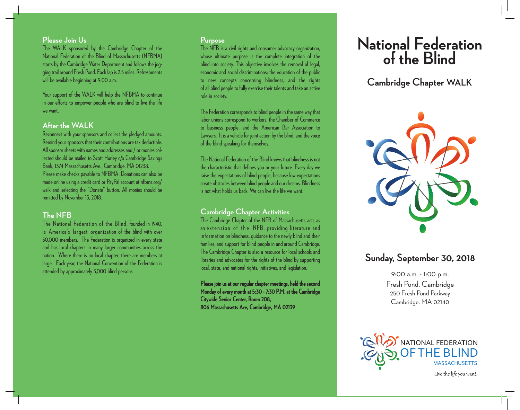### **Please Join Us**

The WALK sponsored by the Cambridge Chapter of the National Federation of the Blind of Massachusetts (NFBMA) starts by the Cambridge Water Department and follows the jogging trail around Fresh Pond. Each lap is 2.5 miles. Refreshments will be available beginning at 9:00 a.m.

Your support of the WALK will help the NFBMA to continue in our efforts to empower people who are blind to live the life we want.

### **After the WALK**

Reconnect with your sponsors and collect the pledged amounts. Remind your sponsors that their contributions are tax deductible. All sponsor sheets with names and addresses and / or monies collected should be mailed to Scott Hurley c/o Cambridge Savings Bank, 1374 Massachusetts Ave., Cambridge, MA 01238. Please make checks payable to NFBMA. Donations can also be made online using a credit card or PayPal account at nfbma.org/ walk and selecting the "Donate" button. All monies should be remitted by November 15, 2018.

### **The NFB**

The National Federation of the Blind, founded in 1940, is America's largest organization of the blind with over 50,000 members. The Federation is organized in every state and has local chapters in many larger communities across the nation. Where there is no local chapter, there are members at large. Each year, the National Convention of the Federation is attended by approximately 3,000 blind persons.

#### **Purpose**

The NFB is a civil rights and consumer advocacy organization, whose ultimate purpose is the complete integration of the blind into society. This objective involves the removal of legal, economic and social discriminations; the education of the public to new concepts concerning blindness, and the rights of all blind people to fully exercise their talents and take an active role in society.

The Federation corresponds to blind people in the same way that labor unions correspond to workers, the Chamber of Commerce to business people, and the American Bar Association to Lawyers. It is a vehicle for joint action by the blind, and the voice of the blind speaking for themselves.

The National Federation of the Blind knows that blindness is not the characteristic that defines you or your future. Every day we raise the expectations of blind people, because low expectations create obstacles between blind people and our dreams. Blindness is not what holds us back. We can live the life we want.

### **Cambridge Chapter Activities**

The Cambridge Chapter of the NFB of Massachusetts acts as an extension of the NFB, providing literature and information on blindness, guidance to the newly blind and their families, and support for blind people in and around Cambridge. The Cambridge Chapter is also a resource for local schools and libraries and advocates for the rights of the blind by supporting local, state, and national rights, initiatives, and legislation.

**Please join us at our regular chapter meetings, held the second Monday of every month at 5:30 - 7:30 P.M. at the Cambridge Citywide Senior Center, Room 208, 806 Massachusetts Ave, Cambridge, MA 02139**

# **National Federation of the Blind**

## **Cambridge Chapter WALK**



### **Sunday, September 30, 2018**

9:00 a.m. - 1:00 p.m. Fresh Pond, Cambridge 250 Fresh Pond Parkway Cambridge, MA 02140